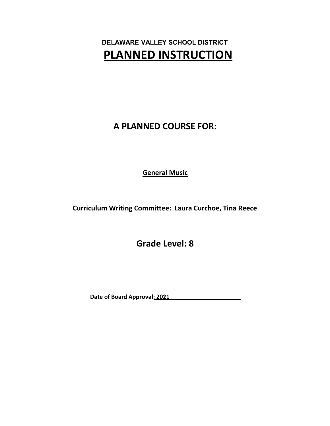**DELAWARE VALLEY SCHOOL DISTRICT PLANNED INSTRUCTION**

**A PLANNED COURSE FOR:**

**General Music**

**Curriculum Writing Committee: Laura Curchoe, Tina Reece**

**Grade Level: 8**

**Date of Board Approval: 2021**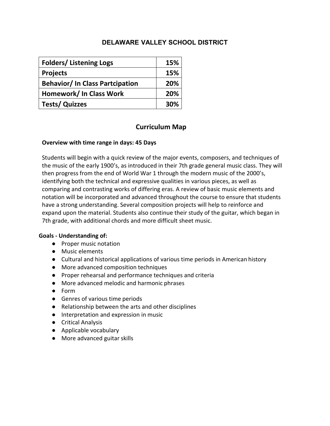| <b>Folders/Listening Logs</b>         | 15% |
|---------------------------------------|-----|
| <b>Projects</b>                       | 15% |
| <b>Behavior/In Class Partcipation</b> | 20% |
| Homework/ In Class Work               | 20% |
| <b>Tests/ Quizzes</b>                 | 30% |

# **Curriculum Map**

#### **Overview with time range in days: 45 Days**

Students will begin with a quick review of the major events, composers, and techniques of the music of the early 1900's, as introduced in their 7th grade general music class. They will then progress from the end of World War 1 through the modern music of the 2000's, identifying both the technical and expressive qualities in various pieces, as well as comparing and contrasting works of differing eras. A review of basic music elements and notation will be incorporated and advanced throughout the course to ensure that students have a strong understanding. Several composition projects will help to reinforce and expand upon the material. Students also continue their study of the guitar, which began in 7th grade, with additional chords and more difficult sheet music.

#### **Goals - Understanding of:**

- Proper music notation
- Music elements
- Cultural and historical applications of various time periods in American history
- More advanced composition techniques
- Proper rehearsal and performance techniques and criteria
- More advanced melodic and harmonic phrases
- Form
- Genres of various time periods
- Relationship between the arts and other disciplines
- Interpretation and expression in music
- Critical Analysis
- Applicable vocabulary
- More advanced guitar skills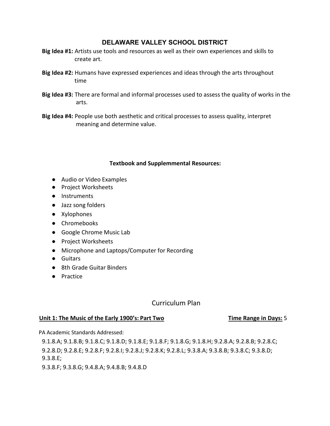- **Big Idea #1:** Artists use tools and resources as well as their own experiences and skills to create art.
- **Big Idea #2:** Humans have expressed experiences and ideas through the arts throughout time
- **Big Idea #3:** There are formal and informal processes used to assess the quality of works in the arts.
- **Big Idea #4:** People use both aesthetic and critical processes to assess quality, interpret meaning and determine value.

#### **Textbook and Supplemmental Resources:**

- Audio or Video Examples
- Project Worksheets
- Instruments
- Jazz song folders
- Xylophones
- Chromebooks
- Google Chrome Music Lab
- Project Worksheets
- Microphone and Laptops/Computer for Recording
- Guitars
- 8th Grade Guitar Binders
- Practice

# Curriculum Plan

#### **Unit 1: The Music of the Early 1900's: Part Two Time Range in Days:** 5

PA Academic Standards Addressed:

9.1.8.A; 9.1.8.B; 9.1.8.C; 9.1.8.D; 9.1.8.E; 9.1.8.F; 9.1.8.G; 9.1.8.H; 9.2.8.A; 9.2.8.B; 9.2.8.C; 9.2.8.D; 9.2.8.E; 9.2.8.F; 9.2.8.I; 9.2.8.J; 9.2.8.K; 9.2.8.L; 9.3.8.A; 9.3.8.B; 9.3.8.C; 9.3.8.D; 9.3.8.E;

9.3.8.F; 9.3.8.G; 9.4.8.A; 9.4.8.B; 9.4.8.D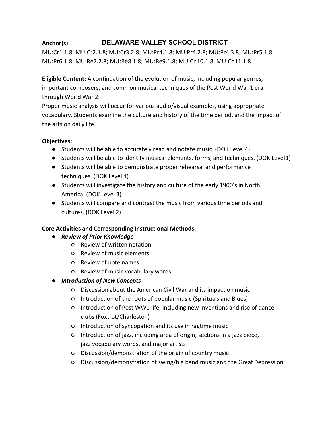# **Anchor(s): DELAWARE VALLEY SCHOOL DISTRICT**

MU:Cr1.1.8; MU:Cr2.1.8; MU:Cr3.2.8; MU:Pr4.1.8; MU:Pr4.2.8; MU:Pr4.3.8; MU:Pr5.1.8; MU:Pr6.1.8; MU:Re7.2.8; MU:Re8.1.8; MU:Re9.1.8; MU:Cn10.1.8; MU:Cn11.1.8

**Eligible Content:** A continuation of the evolution of music, including popular genres, important composers, and common musical techniques of the Post World War 1 era through World War 2.

Proper music analysis will occur for various audio/visual examples, using appropriate vocabulary. Students examine the culture and history of the time period, and the impact of the arts on daily life.

# **Objectives:**

- Students will be able to accurately read and notate music. (DOK Level 4)
- Students will be able to identify musical elements, forms, and techniques. (DOK Level1)
- Students will be able to demonstrate proper rehearsal and performance techniques. (DOK Level 4)
- Students will investigate the history and culture of the early 1900's in North America. (DOK Level 3)
- Students will compare and contrast the music from various time periods and cultures. (DOK Level 2)

# **Core Activities and Corresponding Instructional Methods:**

- *Review of Prior Knowledge*
	- Review of written notation
	- Review of music elements
	- Review of note names
	- Review of music vocabulary words
- *Introduction of New Concepts*
	- Discussion about the American Civil War and its impact on music
	- Introduction of the roots of popular music (Spirituals and Blues)
	- Introduction of Post WW1 life, including new inventions and rise of dance clubs (Foxtrot/Charleston)
	- Introduction of syncopation and its use in ragtime music
	- Introduction of jazz, including area of origin, sections in a jazz piece, jazz vocabulary words, and major artists
	- Discussion/demonstration of the origin of country music
	- Discussion/demonstration of swing/big band music and the GreatDepression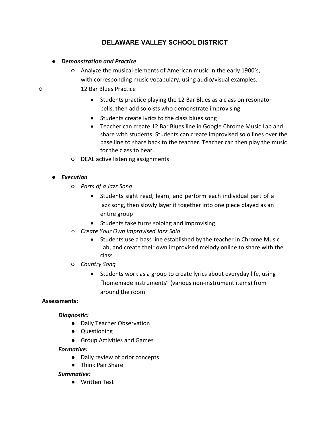## ● *Demonstration and Practice*

- Analyze the musical elements of American music in the early 1900's, with corresponding music vocabulary, using audio/visual examples.
- 12 Bar Blues Practice
	- Students practice playing the 12 Bar Blues as a class on resonator bells, then add soloists who demonstrate improvising
	- Students create lyrics to the class blues song
	- Teacher can create 12 Bar Blues line in Google Chrome Music Lab and share with students. Students can create improvised solo lines over the base line to share back to the teacher. Teacher can then play the music for the class to hear.
	- DEAL active listening assignments

# ● *Execution*

- *Parts of a Jazz Song*
	- Students sight read, learn, and perform each individual part of a jazz song, then slowly layer it together into one piece played as an entire group
	- Students take turns soloing and improvising
- o *Create Your Own Improvised Jazz Solo*
	- Students use a bass line established by the teacher in Chrome Music Lab, and create their own improvised melody online to share with the class
- *Country Song*
	- Students work as a group to create lyrics about everyday life, using "homemade instruments" (various non‐instrument items) from around the room

#### **Assessments:**

#### *Diagnostic:*

- Daily Teacher Observation
- Questioning
- Group Activities and Games

#### *Formative:*

- Daily review of prior concepts
- Think Pair Share

#### *Summative:*

● Written Test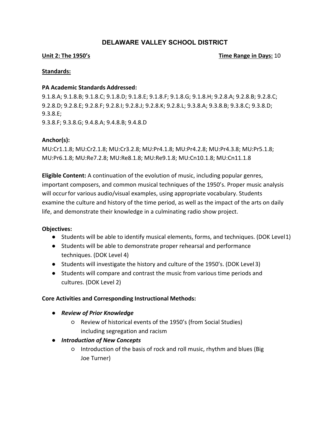#### **Unit 2: The 1950's Contract Contract Contract Contract Contract Contract Contract Contract Contract Contract Contract Contract Contract Contract Contract Contract Contract Contract Contract Contract Contract Contract Cont**

#### **Standards:**

#### **PA Academic Standards Addressed:**

9.1.8.A; 9.1.8.B; 9.1.8.C; 9.1.8.D; 9.1.8.E; 9.1.8.F; 9.1.8.G; 9.1.8.H; 9.2.8.A; 9.2.8.B; 9.2.8.C; 9.2.8.D; 9.2.8.E; 9.2.8.F; 9.2.8.I; 9.2.8.J; 9.2.8.K; 9.2.8.L; 9.3.8.A; 9.3.8.B; 9.3.8.C; 9.3.8.D; 9.3.8.E; 9.3.8.F; 9.3.8.G; 9.4.8.A; 9.4.8.B; 9.4.8.D

#### **Anchor(s):**

MU:Cr1.1.8; MU:Cr2.1.8; MU:Cr3.2.8; MU:Pr4.1.8; MU:Pr4.2.8; MU:Pr4.3.8; MU:Pr5.1.8; MU:Pr6.1.8; MU:Re7.2.8; MU:Re8.1.8; MU:Re9.1.8; MU:Cn10.1.8; MU:Cn11.1.8

**Eligible Content:** A continuation of the evolution of music, including popular genres, important composers, and common musical techniques of the 1950's. Proper music analysis will occur for various audio/visual examples, using appropriate vocabulary. Students examine the culture and history of the time period, as well as the impact of the arts on daily life, and demonstrate their knowledge in a culminating radio show project.

#### **Objectives:**

- Students will be able to identify musical elements, forms, and techniques. (DOK Level1)
- Students will be able to demonstrate proper rehearsal and performance techniques. (DOK Level 4)
- Students will investigate the history and culture of the 1950's. (DOK Level 3)
- Students will compare and contrast the music from various time periods and cultures. (DOK Level 2)

#### **Core Activities and Corresponding Instructional Methods:**

- *Review of Prior Knowledge*
	- Review of historical events of the 1950's (from Social Studies) including segregation and racism
- *Introduction of New Concepts*
	- Introduction of the basis of rock and roll music, rhythm and blues (Big Joe Turner)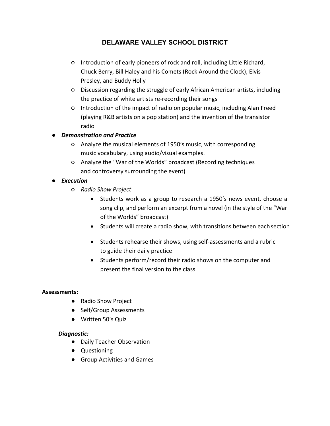- Introduction of early pioneers of rock and roll, including Little Richard, Chuck Berry, Bill Haley and his Comets (Rock Around the Clock), Elvis Presley, and Buddy Holly
- Discussion regarding the struggle of early African American artists, including the practice of white artists re‐recording their songs
- Introduction of the impact of radio on popular music, including Alan Freed (playing R&B artists on a pop station) and the invention of the transistor radio
- *Demonstration and Practice*
	- Analyze the musical elements of 1950's music, with corresponding music vocabulary, using audio/visual examples.
	- Analyze the "War of the Worlds" broadcast (Recording techniques and controversy surrounding the event)
- *Execution*
	- *Radio Show Project*
		- Students work as a group to research a 1950's news event, choose a song clip, and perform an excerpt from a novel (in the style of the "War of the Worlds" broadcast)
		- Students will create a radio show, with transitions between each section
		- Students rehearse their shows, using self‐assessments and a rubric to guide their daily practice
		- Students perform/record their radio shows on the computer and present the final version to the class

#### **Assessments:**

- Radio Show Project
- Self/Group Assessments
- Written 50's Quiz

#### *Diagnostic:*

- Daily Teacher Observation
- Questioning
- Group Activities and Games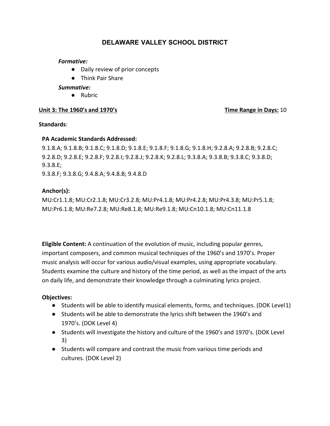#### *Formative:*

- Daily review of prior concepts
- Think Pair Share

#### *Summative:*

● Rubric

## **Unit 3: The 1960's and 1970's Time Range in Days:** 10

#### **Standards**:

## **PA Academic Standards Addressed:**

9.1.8.A; 9.1.8.B; 9.1.8.C; 9.1.8.D; 9.1.8.E; 9.1.8.F; 9.1.8.G; 9.1.8.H; 9.2.8.A; 9.2.8.B; 9.2.8.C; 9.2.8.D; 9.2.8.E; 9.2.8.F; 9.2.8.I; 9.2.8.J; 9.2.8.K; 9.2.8.L; 9.3.8.A; 9.3.8.B; 9.3.8.C; 9.3.8.D; 9.3.8.E;

9.3.8.F; 9.3.8.G; 9.4.8.A; 9.4.8.B; 9.4.8.D

## **Anchor(s):**

MU:Cr1.1.8; MU:Cr2.1.8; MU:Cr3.2.8; MU:Pr4.1.8; MU:Pr4.2.8; MU:Pr4.3.8; MU:Pr5.1.8; MU:Pr6.1.8; MU:Re7.2.8; MU:Re8.1.8; MU:Re9.1.8; MU:Cn10.1.8; MU:Cn11.1.8

**Eligible Content:** A continuation of the evolution of music, including popular genres, important composers, and common musical techniques of the 1960's and 1970's. Proper music analysis will occur for various audio/visual examples, using appropriate vocabulary. Students examine the culture and history of the time period, as well as the impact of the arts on daily life, and demonstrate their knowledge through a culminating lyrics project.

#### **Objectives:**

- Students will be able to identify musical elements, forms, and techniques. (DOK Level1)
- Students will be able to demonstrate the lyrics shift between the 1960's and 1970's. (DOK Level 4)
- Students will investigate the history and culture of the 1960's and 1970's. (DOK Level 3)
- Students will compare and contrast the music from various time periods and cultures. (DOK Level 2)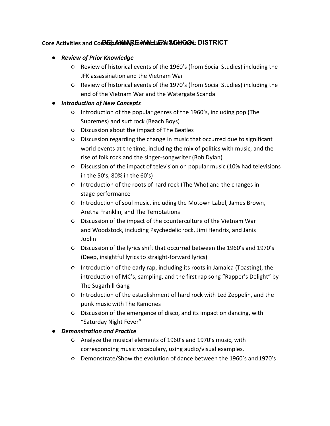# **Core Activities and Corresponding Instructional Structure Activities and Corresponding Instruction**

# ● *Review of Prior Knowledge*

- Review of historical events of the 1960's (from Social Studies) including the JFK assassination and the Vietnam War
- Review of historical events of the 1970's (from Social Studies) including the end of the Vietnam War and the Watergate Scandal

# ● *Introduction of New Concepts*

- Introduction of the popular genres of the 1960's, including pop (The Supremes) and surf rock (Beach Boys)
- Discussion about the impact of The Beatles
- Discussion regarding the change in music that occurred due to significant world events at the time, including the mix of politics with music, and the rise of folk rock and the singer‐songwriter (Bob Dylan)
- Discussion of the impact of television on popular music (10% had televisions in the 50's, 80% in the 60's)
- Introduction of the roots of hard rock (The Who) and the changes in stage performance
- Introduction of soul music, including the Motown Label, James Brown, Aretha Franklin, and The Temptations
- Discussion of the impact of the counterculture of the Vietnam War and Woodstock, including Psychedelic rock, Jimi Hendrix, and Janis Joplin
- Discussion of the lyrics shift that occurred between the 1960's and 1970's (Deep, insightful lyrics to straight‐forward lyrics)
- Introduction of the early rap, including its roots in Jamaica (Toasting), the introduction of MC's, sampling, and the first rap song "Rapper's Delight" by The Sugarhill Gang
- Introduction of the establishment of hard rock with Led Zeppelin, and the punk music with The Ramones
- Discussion of the emergence of disco, and its impact on dancing, with "Saturday Night Fever"

# ● *Demonstration and Practice*

- Analyze the musical elements of 1960's and 1970's music, with corresponding music vocabulary, using audio/visual examples.
- Demonstrate/Show the evolution of dance between the 1960's and1970's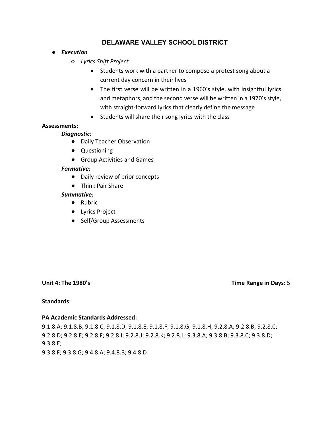- *Execution*
	- *Lyrics Shift Project*
		- Students work with a partner to compose a protest song about a current day concern in their lives
		- The first verse will be written in a 1960's style, with insightful lyrics and metaphors, and the second verse will be written in a 1970's style, with straight-forward lyrics that clearly define the message
		- Students will share their song lyrics with the class

#### **Assessments:**

#### *Diagnostic:*

- Daily Teacher Observation
- Questioning
- Group Activities and Games

#### *Formative:*

- Daily review of prior concepts
- Think Pair Share

#### *Summative:*

- Rubric
- Lyrics Project
- Self/Group Assessments

#### **Unit 4: The 1980's Time Range in Days:** 5

#### **Standards**:

#### **PA Academic Standards Addressed:**

9.1.8.A; 9.1.8.B; 9.1.8.C; 9.1.8.D; 9.1.8.E; 9.1.8.F; 9.1.8.G; 9.1.8.H; 9.2.8.A; 9.2.8.B; 9.2.8.C; 9.2.8.D; 9.2.8.E; 9.2.8.F; 9.2.8.I; 9.2.8.J; 9.2.8.K; 9.2.8.L; 9.3.8.A; 9.3.8.B; 9.3.8.C; 9.3.8.D; 9.3.8.E;

9.3.8.F; 9.3.8.G; 9.4.8.A; 9.4.8.B; 9.4.8.D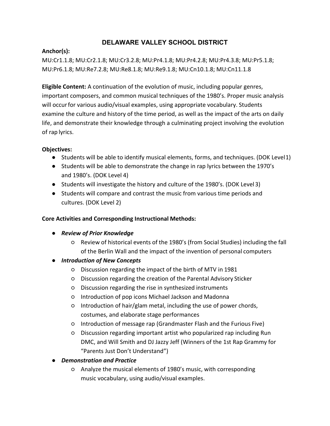# **Anchor(s):**

MU:Cr1.1.8; MU:Cr2.1.8; MU:Cr3.2.8; MU:Pr4.1.8; MU:Pr4.2.8; MU:Pr4.3.8; MU:Pr5.1.8; MU:Pr6.1.8; MU:Re7.2.8; MU:Re8.1.8; MU:Re9.1.8; MU:Cn10.1.8; MU:Cn11.1.8

**Eligible Content:** A continuation of the evolution of music, including popular genres, important composers, and common musical techniques of the 1980's. Proper music analysis will occurfor various audio/visual examples, using appropriate vocabulary. Students examine the culture and history of the time period, as well as the impact of the arts on daily life, and demonstrate their knowledge through a culminating project involving the evolution of rap lyrics.

# **Objectives:**

- Students will be able to identify musical elements, forms, and techniques. (DOK Level1)
- Students will be able to demonstrate the change in rap lyrics between the 1970's and 1980's. (DOK Level 4)
- Students will investigate the history and culture of the 1980's. (DOK Level 3)
- Students will compare and contrast the music from various time periods and cultures. (DOK Level 2)

# **Core Activities and Corresponding Instructional Methods:**

- *Review of Prior Knowledge*
	- Review of historical events of the 1980's (from Social Studies) including the fall of the Berlin Wall and the impact of the invention of personal computers
- *Introduction of New Concepts*
	- Discussion regarding the impact of the birth of MTV in 1981
	- Discussion regarding the creation of the Parental Advisory Sticker
	- Discussion regarding the rise in synthesized instruments
	- Introduction of pop icons Michael Jackson and Madonna
	- Introduction of hair/glam metal, including the use of power chords, costumes, and elaborate stage performances
	- Introduction of message rap (Grandmaster Flash and the Furious Five)
	- Discussion regarding important artist who popularized rap including Run DMC, and Will Smith and DJ Jazzy Jeff (Winners of the 1st Rap Grammy for "Parents Just Don't Understand")
- *Demonstration and Practice*
	- Analyze the musical elements of 1980's music, with corresponding music vocabulary, using audio/visual examples.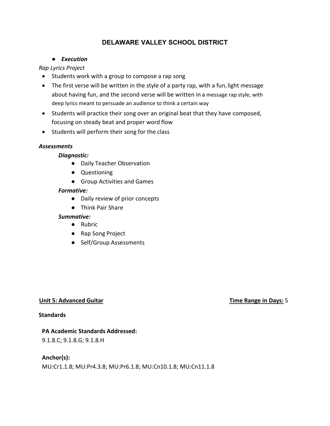### ● *Execution*

# *Rap Lyrics Project*

- Students work with a group to compose a rap song
- The first verse will be written in the style of a party rap, with a fun, light message about having fun, and the second verse will be written in a message rap style, with deep lyrics meant to persuade an audience to think a certain way
- Students will practice their song over an original beat that they have composed, focusing on steady beat and proper word flow
- Students will perform their song for the class

## *Assessments*

#### *Diagnostic:*

- Daily Teacher Observation
- Questioning
- Group Activities and Games

#### *Formative:*

- Daily review of prior concepts
- Think Pair Share

#### *Summative:*

- Rubric
- Rap Song Project
- Self/Group Assessments

#### **Unit 5: Advanced Guitar Time Range in Days:** 5

#### **Standards**

#### **PA Academic Standards Addressed:**

9.1.8.C; 9.1.8.G; 9.1.8.H

# **Anchor(s):**

MU:Cr1.1.8; MU:Pr4.3.8; MU:Pr6.1.8; MU:Cn10.1.8; MU:Cn11.1.8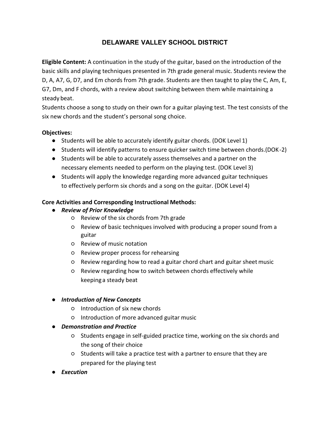**Eligible Content:** A continuation in the study of the guitar, based on the introduction of the basic skills and playing techniques presented in 7th grade general music. Students review the D, A, A7, G, D7, and Em chords from 7th grade. Students are then taught to play the C, Am, E, G7, Dm, and F chords, with a review about switching between them while maintaining a steady beat.

Students choose a song to study on their own for a guitar playing test. The test consists of the six new chords and the student's personal song choice.

## **Objectives:**

- Students will be able to accurately identify guitar chords. (DOK Level 1)
- Students will identify patterns to ensure quicker switch time between chords.(DOK-2)
- Students will be able to accurately assess themselves and a partner on the necessary elements needed to perform on the playing test. (DOK Level 3)
- Students will apply the knowledge regarding more advanced guitar techniques to effectively perform six chords and a song on the guitar. (DOK Level 4)

# **Core Activities and Corresponding Instructional Methods:**

- *Review of Prior Knowledge*
	- Review of the six chords from 7th grade
	- Review of basic techniques involved with producing a proper sound from a guitar
	- Review of music notation
	- Review proper process for rehearsing
	- Review regarding how to read a guitar chord chart and guitar sheet music
	- Review regarding how to switch between chords effectively while keepinga steady beat

# ● *Introduction of New Concepts*

- Introduction of six new chords
- Introduction of more advanced guitar music

# ● *Demonstration and Practice*

- Students engage in self‐guided practice time, working on the six chords and the song of their choice
- Students will take a practice test with a partner to ensure that they are prepared for the playing test
- *Execution*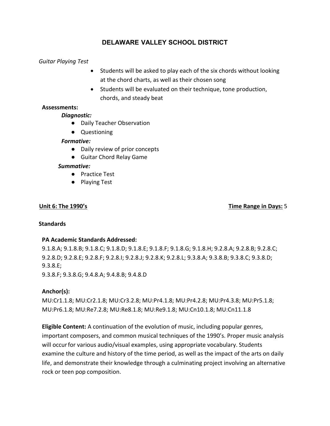#### *Guitar Playing Test*

- Students will be asked to play each of the six chords without looking at the chord charts, as well as their chosen song
- Students will be evaluated on their technique, tone production, chords, and steady beat

### **Assessments:**

#### *Diagnostic:*

- Daily Teacher Observation
- Questioning

#### *Formative:*

- Daily review of prior concepts
- Guitar Chord Relay Game

#### *Summative:*

- Practice Test
- Playing Test

#### **Unit 6: The 1990's Time Range in Days:** 5

#### **Standards**

#### **PA Academic Standards Addressed:**

9.1.8.A; 9.1.8.B; 9.1.8.C; 9.1.8.D; 9.1.8.E; 9.1.8.F; 9.1.8.G; 9.1.8.H; 9.2.8.A; 9.2.8.B; 9.2.8.C; 9.2.8.D; 9.2.8.E; 9.2.8.F; 9.2.8.I; 9.2.8.J; 9.2.8.K; 9.2.8.L; 9.3.8.A; 9.3.8.B; 9.3.8.C; 9.3.8.D; 9.3.8.E; 9.3.8.F; 9.3.8.G; 9.4.8.A; 9.4.8.B; 9.4.8.D

#### **Anchor(s):**

MU:Cr1.1.8; MU:Cr2.1.8; MU:Cr3.2.8; MU:Pr4.1.8; MU:Pr4.2.8; MU:Pr4.3.8; MU:Pr5.1.8; MU:Pr6.1.8; MU:Re7.2.8; MU:Re8.1.8; MU:Re9.1.8; MU:Cn10.1.8; MU:Cn11.1.8

**Eligible Content:** A continuation of the evolution of music, including popular genres, important composers, and common musical techniques of the 1990's. Proper music analysis will occurfor various audio/visual examples, using appropriate vocabulary. Students examine the culture and history of the time period, as well as the impact of the arts on daily life, and demonstrate their knowledge through a culminating project involving an alternative rock or teen pop composition.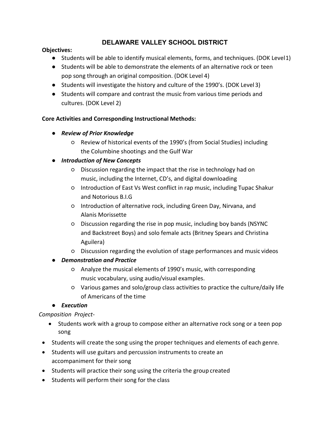## **Objectives:**

- Students will be able to identify musical elements, forms, and techniques. (DOK Level1)
- Students will be able to demonstrate the elements of an alternative rock or teen pop song through an original composition. (DOK Level 4)
- Students will investigate the history and culture of the 1990's. (DOK Level 3)
- Students will compare and contrast the music from various time periods and cultures. (DOK Level 2)

# **Core Activities and Corresponding Instructional Methods:**

- *Review of Prior Knowledge*
	- Review of historical events of the 1990's (from Social Studies) including the Columbine shootings and the Gulf War

# ● *Introduction of New Concepts*

- Discussion regarding the impact that the rise in technology had on music, including the Internet, CD's, and digital downloading
- Introduction of East Vs West conflict in rap music, including Tupac Shakur and Notorious B.I.G
- Introduction of alternative rock, including Green Day, Nirvana, and Alanis Morissette
- Discussion regarding the rise in pop music, including boy bands (NSYNC and Backstreet Boys) and solo female acts (Britney Spears and Christina Aguilera)
- Discussion regarding the evolution of stage performances and music videos

# ● *Demonstration and Practice*

- Analyze the musical elements of 1990's music, with corresponding music vocabulary, using audio/visual examples.
- Various games and solo/group class activities to practice the culture/daily life of Americans of the time

# ● *Execution*

*Composition Project-*

- Students work with a group to compose either an alternative rock song or a teen pop song
- Students will create the song using the proper techniques and elements of each genre.
- Students will use guitars and percussion instruments to create an accompaniment for their song
- Students will practice their song using the criteria the group created
- Students will perform their song for the class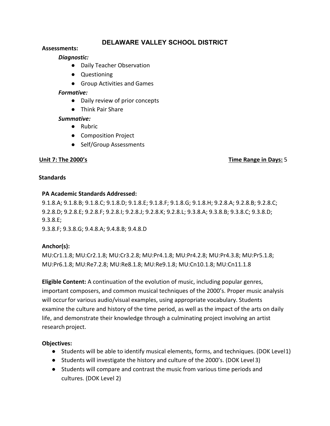#### **Assessments:**

### *Diagnostic:*

- Daily Teacher Observation
- Questioning
- Group Activities and Games

#### *Formative:*

- Daily review of prior concepts
- Think Pair Share

#### *Summative:*

- Rubric
- Composition Project
- Self/Group Assessments

## **Unit 7: The 2000's Time Range in Days:** 5

#### **Standards**

## **PA Academic Standards Addressed:**

9.1.8.A; 9.1.8.B; 9.1.8.C; 9.1.8.D; 9.1.8.E; 9.1.8.F; 9.1.8.G; 9.1.8.H; 9.2.8.A; 9.2.8.B; 9.2.8.C; 9.2.8.D; 9.2.8.E; 9.2.8.F; 9.2.8.I; 9.2.8.J; 9.2.8.K; 9.2.8.L; 9.3.8.A; 9.3.8.B; 9.3.8.C; 9.3.8.D; 9.3.8.E;

9.3.8.F; 9.3.8.G; 9.4.8.A; 9.4.8.B; 9.4.8.D

# **Anchor(s):**

MU:Cr1.1.8; MU:Cr2.1.8; MU:Cr3.2.8; MU:Pr4.1.8; MU:Pr4.2.8; MU:Pr4.3.8; MU:Pr5.1.8; MU:Pr6.1.8; MU:Re7.2.8; MU:Re8.1.8; MU:Re9.1.8; MU:Cn10.1.8; MU:Cn11.1.8

**Eligible Content:** A continuation of the evolution of music, including popular genres, important composers, and common musical techniques of the 2000's. Proper music analysis will occurfor various audio/visual examples, using appropriate vocabulary. Students examine the culture and history of the time period, as well as the impact of the arts on daily life, and demonstrate their knowledge through a culminating project involving an artist research project.

# **Objectives:**

- Students will be able to identify musical elements, forms, and techniques. (DOK Level1)
- Students will investigate the history and culture of the 2000's. (DOK Level 3)
- Students will compare and contrast the music from various time periods and cultures. (DOK Level 2)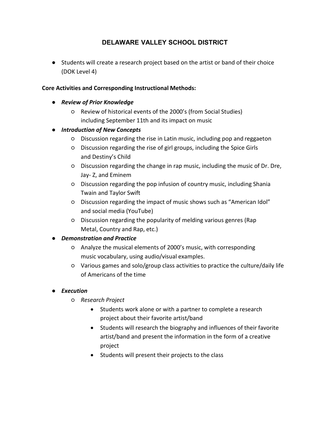● Students will create a research project based on the artist or band of their choice (DOK Level 4)

## **Core Activities and Corresponding Instructional Methods:**

- *Review of Prior Knowledge*
	- Review of historical events of the 2000's (from Social Studies) including September 11th and its impact on music

# ● *Introduction of New Concepts*

- Discussion regarding the rise in Latin music, including pop and reggaeton
- Discussion regarding the rise of girl groups, including the Spice Girls and Destiny's Child
- Discussion regarding the change in rap music, including the music of Dr. Dre, Jay‐ Z, and Eminem
- Discussion regarding the pop infusion of country music, including Shania Twain and Taylor Swift
- Discussion regarding the impact of music shows such as "American Idol" and social media (YouTube)
- Discussion regarding the popularity of melding various genres (Rap Metal, Country and Rap, etc.)

# ● *Demonstration and Practice*

- Analyze the musical elements of 2000's music, with corresponding music vocabulary, using audio/visual examples.
- Various games and solo/group class activities to practice the culture/daily life of Americans of the time

# ● *Execution*

- *Research Project*
	- Students work alone or with a partner to complete a research project about their favorite artist/band
	- Students will research the biography and influences of their favorite artist/band and present the information in the form of a creative project
	- Students will present their projects to the class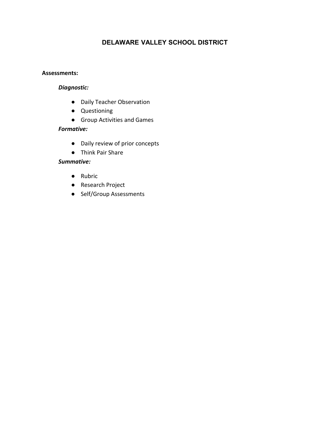#### **Assessments:**

## *Diagnostic:*

- Daily Teacher Observation
- Questioning
- Group Activities and Games

## *Formative:*

- Daily review of prior concepts
- Think Pair Share

## *Summative:*

- Rubric
- Research Project
- Self/Group Assessments